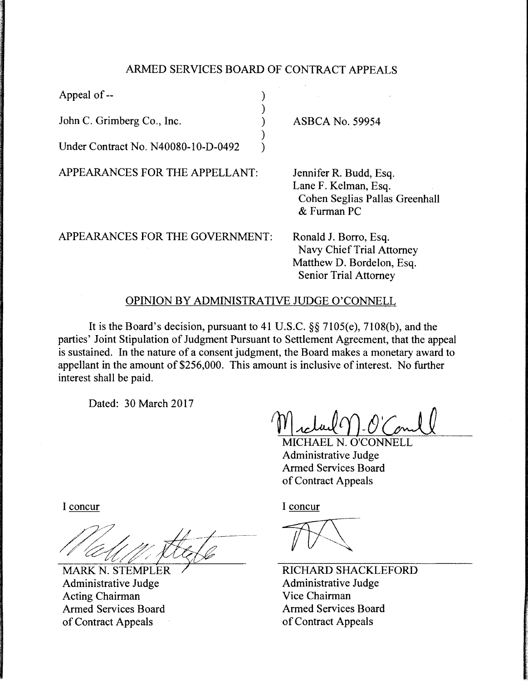## ARMED SERVICES BOARD OF CONTRACT APPEALS

) ) ) ) )

Appeal of--

John C. Grimberg Co., Inc.

Under Contract No. N40080-10-D-0492

APPEARANCES FOR THE APPELLANT:

ASBCA No. 59954

Jennifer R. Budd, Esq. Lane F. Kelman, Esq. Cohen Seglias Pallas Greenhall & Furman PC

APPEARANCES FOR THE GOVERNMENT:

Ronald J. Borro, Esq. Navy Chief Trial Attorney Matthew D. Bordelon, Esq. Senior Trial Attorney

## OPINION BY ADMINISTRATIVE JUDGE O'CONNELL

It is the Board's decision, pursuant to 41 U.S.C. §§ 7105(e), 7108(b), and the parties' Joint Stipulation of Judgment Pursuant to Settlement Agreement, that the appeal is sustained. In the nature of a consent judgment, the Board makes a monetary award to appellant in the amount of \$256,000. This amount is inclusive of interest. No further interest shall be paid.

Dated: 30 March 2017

MICHAEL N. O'CONNELL Administrative Judge Armed Services Board of Contract Appeals

I concur

**MARK N. STEMPLER** Administrative Judge Acting Chairman Armed Services Board of Contract Appeals

I concur

RICHARD SHACKLEFORD Administrative Judge Vice Chairman Armed Services Board of Contract Appeals